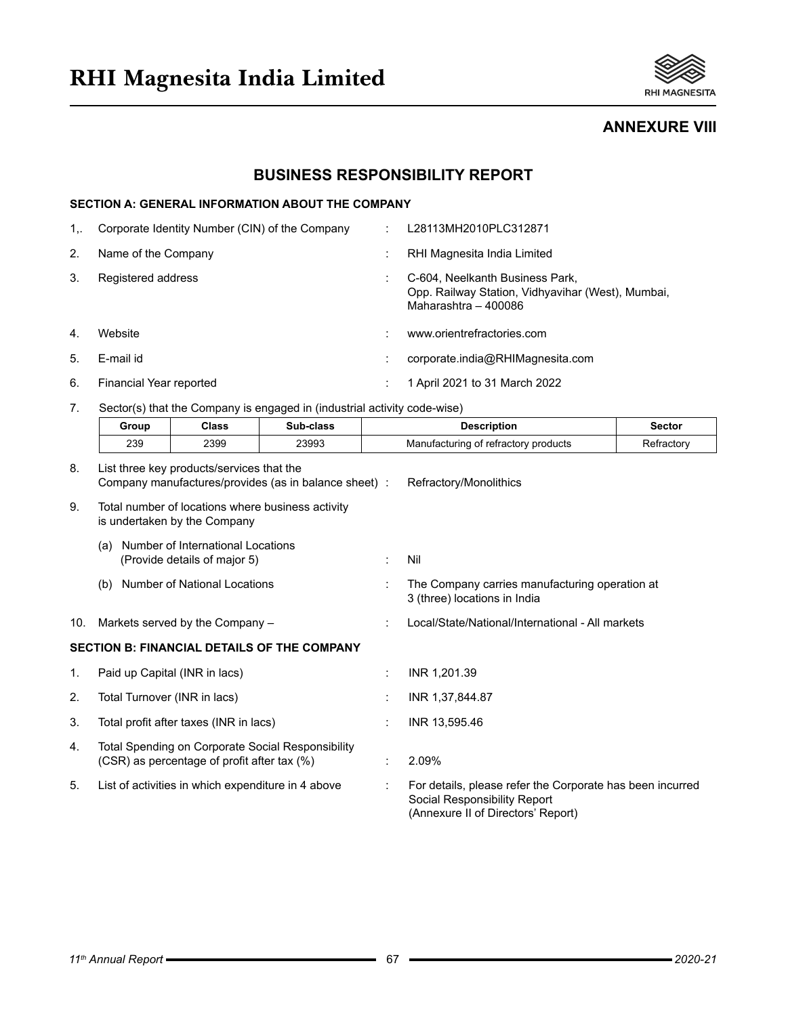

**ANNEXURE VIII**

# **BUSINESS RESPONSIBILITY REPORT**

## **SECTION A: GENERAL INFORMATION ABOUT THE COMPANY**

| $1_{\cdots}$ | Corporate Identity Number (CIN) of the Company | L28113MH2010PLC312871                                                                                        |
|--------------|------------------------------------------------|--------------------------------------------------------------------------------------------------------------|
| 2.           | Name of the Company                            | RHI Magnesita India Limited                                                                                  |
| 3.           | Registered address                             | C-604, Neelkanth Business Park,<br>Opp. Railway Station, Vidhyavihar (West), Mumbai,<br>Maharashtra - 400086 |
| 4.           | Website                                        | www.orientrefractories.com                                                                                   |
| 5.           | E-mail id                                      | corporate.india@RHIMagnesita.com                                                                             |
| 6.           | Financial Year reported                        | 1 April 2021 to 31 March 2022                                                                                |

7. Sector(s) that the Company is engaged in (industrial activity code-wise)

|     | Group                         | <b>Class</b>                                                      | Sub-class                                            | <b>Description</b>                                                                                                              | <b>Sector</b> |
|-----|-------------------------------|-------------------------------------------------------------------|------------------------------------------------------|---------------------------------------------------------------------------------------------------------------------------------|---------------|
|     | 239                           | 2399                                                              | 23993                                                | Manufacturing of refractory products                                                                                            | Refractory    |
| 8.  |                               | List three key products/services that the                         | Company manufactures/provides (as in balance sheet): | Refractory/Monolithics                                                                                                          |               |
| 9.  |                               | is undertaken by the Company                                      | Total number of locations where business activity    |                                                                                                                                 |               |
|     | (a)                           | Number of International Locations<br>(Provide details of major 5) |                                                      | Nil                                                                                                                             |               |
|     | (b)                           | <b>Number of National Locations</b>                               |                                                      | The Company carries manufacturing operation at<br>3 (three) locations in India                                                  |               |
| 10. |                               | Markets served by the Company -                                   |                                                      | Local/State/National/International - All markets                                                                                |               |
|     |                               |                                                                   | <b>SECTION B: FINANCIAL DETAILS OF THE COMPANY</b>   |                                                                                                                                 |               |
| 1.  | Paid up Capital (INR in lacs) |                                                                   |                                                      | INR 1.201.39                                                                                                                    |               |
| 2.  | Total Turnover (INR in lacs)  |                                                                   |                                                      | INR 1,37,844.87                                                                                                                 |               |
| 3.  |                               | Total profit after taxes (INR in lacs)                            |                                                      | INR 13,595.46                                                                                                                   |               |
| 4.  |                               | (CSR) as percentage of profit after tax (%)                       | Total Spending on Corporate Social Responsibility    | 2.09%                                                                                                                           |               |
| 5.  |                               | List of activities in which expenditure in 4 above                |                                                      | For details, please refer the Corporate has been incurred<br>Social Responsibility Report<br>(Annexure II of Directors' Report) |               |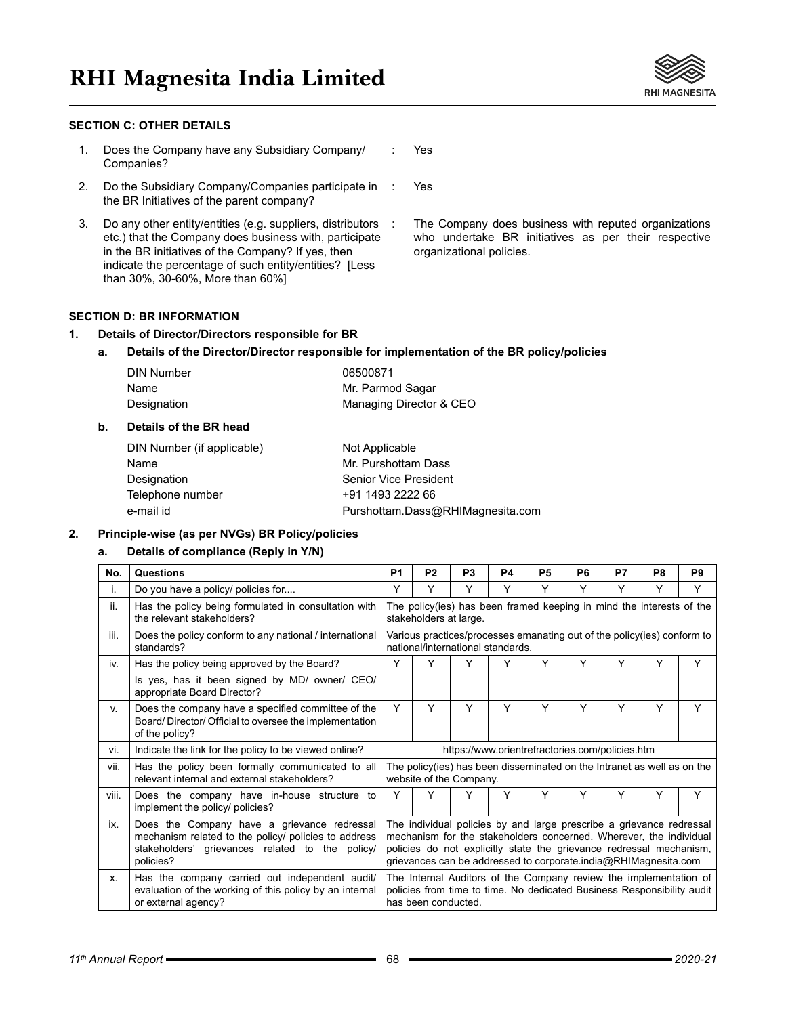# **RHI Magnesita India Limited**

#### **SECTION C: OTHER DETAILS**

- 1. Does the Company have any Subsidiary Company/ Companies? : Yes
- 2. Do the Subsidiary Company/Companies participate in the BR Initiatives of the parent company?
- 3. Do any other entity/entities (e.g. suppliers, distributors etc.) that the Company does business with, participate in the BR initiatives of the Company? If yes, then indicate the percentage of such entity/entities? [Less than 30%, 30-60%, More than 60%]

The Company does business with reputed organizations who undertake BR initiatives as per their respective organizational policies.

# **SECTION D: BR INFORMATION**

#### **1. Details of Director/Directors responsible for BR**

#### **a. Details of the Director/Director responsible for implementation of the BR policy/policies**

Yes

| <b>DIN Number</b> | 06500871                |
|-------------------|-------------------------|
| Name              | Mr. Parmod Sagar        |
| Designation       | Managing Director & CEO |

#### **b. Details of the BR head**

| DIN Number (if applicable) | Not Applicable                   |
|----------------------------|----------------------------------|
| Name                       | Mr. Purshottam Dass              |
| Designation                | Senior Vice President            |
| Telephone number           | +91 1493 2222 66                 |
| e-mail id                  | Purshottam.Dass@RHIMagnesita.com |

#### **2. Principle-wise (as per NVGs) BR Policy/policies**

#### **a. Details of compliance (Reply in Y/N)**

| No.   | Questions                                                                                                                                                           | P <sub>1</sub>                                                                                                                                                                                                                                                                       | P <sub>2</sub>                                                                                                                                                     | P <sub>3</sub> | <b>P4</b> | <b>P5</b> | P <sub>6</sub> | P7 | P <sub>8</sub> | P <sub>9</sub> |
|-------|---------------------------------------------------------------------------------------------------------------------------------------------------------------------|--------------------------------------------------------------------------------------------------------------------------------------------------------------------------------------------------------------------------------------------------------------------------------------|--------------------------------------------------------------------------------------------------------------------------------------------------------------------|----------------|-----------|-----------|----------------|----|----------------|----------------|
| i.    | Do you have a policy/ policies for                                                                                                                                  | Y                                                                                                                                                                                                                                                                                    | Y                                                                                                                                                                  | Y              | Y         | Y         | Y              | Y  | Y              | Υ              |
| ii.   | Has the policy being formulated in consultation with<br>the relevant stakeholders?                                                                                  |                                                                                                                                                                                                                                                                                      | The policy (ies) has been framed keeping in mind the interests of the<br>stakeholders at large.                                                                    |                |           |           |                |    |                |                |
| iii.  | Does the policy conform to any national / international<br>standards?                                                                                               |                                                                                                                                                                                                                                                                                      | Various practices/processes emanating out of the policy(ies) conform to<br>national/international standards.                                                       |                |           |           |                |    |                |                |
| iv.   | Has the policy being approved by the Board?                                                                                                                         | Y                                                                                                                                                                                                                                                                                    | Y                                                                                                                                                                  | Υ              | Υ         | Y         | Y              | Y  | Y              | Y              |
|       | Is yes, has it been signed by MD/ owner/ CEO/<br>appropriate Board Director?                                                                                        |                                                                                                                                                                                                                                                                                      |                                                                                                                                                                    |                |           |           |                |    |                |                |
| V.    | Does the company have a specified committee of the<br>Board/Director/Official to oversee the implementation<br>of the policy?                                       | Y                                                                                                                                                                                                                                                                                    | Y                                                                                                                                                                  | Y              | Y         | Y         | Υ              | Y  | Y              | Υ              |
| vi.   | Indicate the link for the policy to be viewed online?                                                                                                               | https://www.orientrefractories.com/policies.htm                                                                                                                                                                                                                                      |                                                                                                                                                                    |                |           |           |                |    |                |                |
| vii.  | Has the policy been formally communicated to all<br>relevant internal and external stakeholders?                                                                    | The policy (ies) has been disseminated on the Intranet as well as on the<br>website of the Company.                                                                                                                                                                                  |                                                                                                                                                                    |                |           |           |                |    |                |                |
| viii. | Does the company have in-house structure to<br>implement the policy/ policies?                                                                                      | Y                                                                                                                                                                                                                                                                                    | Y                                                                                                                                                                  | Y              | Y         | Y         | Υ              | Y  | Y              | Y              |
| ix.   | Does the Company have a grievance redressal<br>mechanism related to the policy/ policies to address<br>stakeholders' grievances related to the policy/<br>policies? | The individual policies by and large prescribe a grievance redressal<br>mechanism for the stakeholders concerned. Wherever, the individual<br>policies do not explicitly state the grievance redressal mechanism,<br>grievances can be addressed to corporate india@RHIMagnesita.com |                                                                                                                                                                    |                |           |           |                |    |                |                |
| х.    | Has the company carried out independent audit/<br>evaluation of the working of this policy by an internal<br>or external agency?                                    |                                                                                                                                                                                                                                                                                      | The Internal Auditors of the Company review the implementation of<br>policies from time to time. No dedicated Business Responsibility audit<br>has been conducted. |                |           |           |                |    |                |                |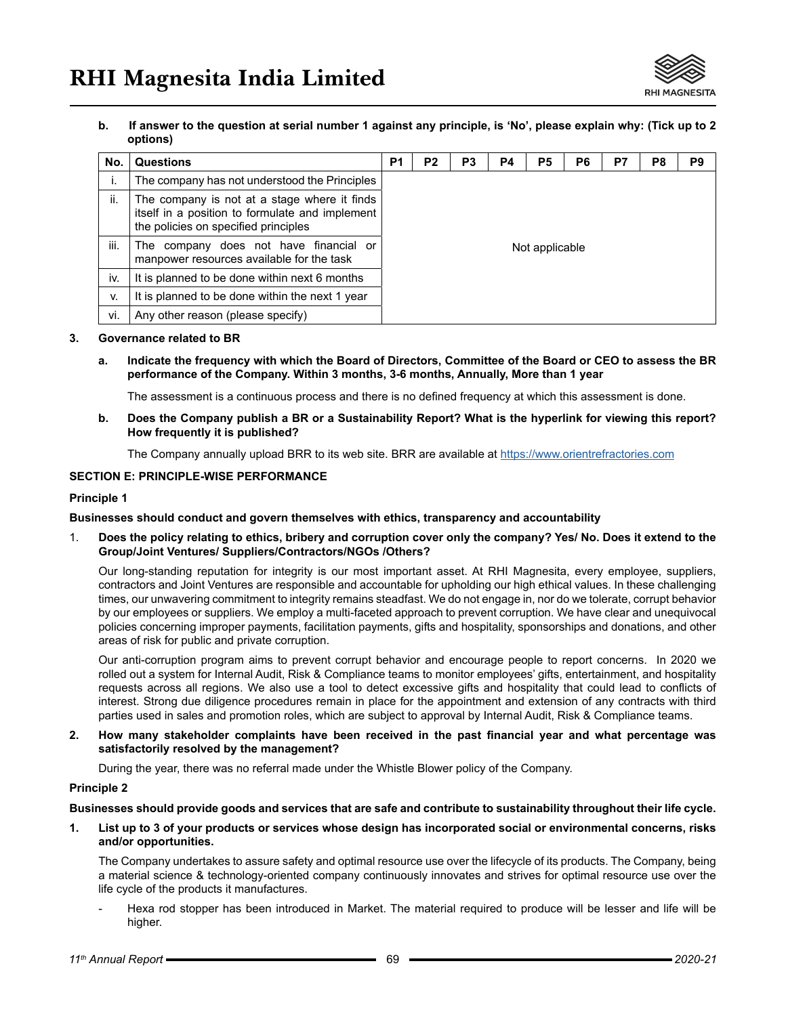

**b. If answer to the question at serial number 1 against any principle, is 'No', please explain why: (Tick up to 2 options)**

| No.  | <b>Questions</b>                                                                                                                        | P <sub>1</sub> | P <sub>2</sub> | P <sub>3</sub> | P4 | P <sub>5</sub> | P <sub>6</sub> | P7 | P <sub>8</sub> | P <sub>9</sub> |
|------|-----------------------------------------------------------------------------------------------------------------------------------------|----------------|----------------|----------------|----|----------------|----------------|----|----------------|----------------|
| ı.   | The company has not understood the Principles                                                                                           |                |                |                |    |                |                |    |                |                |
| ii.  | The company is not at a stage where it finds<br>itself in a position to formulate and implement<br>the policies on specified principles |                |                |                |    |                |                |    |                |                |
| iii. | The company does not have financial or<br>manpower resources available for the task                                                     | Not applicable |                |                |    |                |                |    |                |                |
| İV.  | It is planned to be done within next 6 months                                                                                           |                |                |                |    |                |                |    |                |                |
| v.   | It is planned to be done within the next 1 year                                                                                         |                |                |                |    |                |                |    |                |                |
| vi.  | Any other reason (please specify)                                                                                                       |                |                |                |    |                |                |    |                |                |

#### **3. Governance related to BR**

**a. Indicate the frequency with which the Board of Directors, Committee of the Board or CEO to assess the BR performance of the Company. Within 3 months, 3-6 months, Annually, More than 1 year**

The assessment is a continuous process and there is no defined frequency at which this assessment is done.

**b. Does the Company publish a BR or a Sustainability Report? What is the hyperlink for viewing this report? How frequently it is published?**

The Company annually upload BRR to its web site. BRR are available at https://www.orientrefractories.com

### **SECTION E: PRINCIPLE-WISE PERFORMANCE**

#### **Principle 1**

#### **Businesses should conduct and govern themselves with ethics, transparency and accountability**

1. **Does the policy relating to ethics, bribery and corruption cover only the company? Yes/ No. Does it extend to the Group/Joint Ventures/ Suppliers/Contractors/NGOs /Others?**

Our long-standing reputation for integrity is our most important asset. At RHI Magnesita, every employee, suppliers, contractors and Joint Ventures are responsible and accountable for upholding our high ethical values. In these challenging times, our unwavering commitment to integrity remains steadfast. We do not engage in, nor do we tolerate, corrupt behavior by our employees or suppliers. We employ a multi-faceted approach to prevent corruption. We have clear and unequivocal policies concerning improper payments, facilitation payments, gifts and hospitality, sponsorships and donations, and other areas of risk for public and private corruption.

Our anti-corruption program aims to prevent corrupt behavior and encourage people to report concerns. In 2020 we rolled out a system for Internal Audit, Risk & Compliance teams to monitor employees' gifts, entertainment, and hospitality requests across all regions. We also use a tool to detect excessive gifts and hospitality that could lead to conflicts of interest. Strong due diligence procedures remain in place for the appointment and extension of any contracts with third parties used in sales and promotion roles, which are subject to approval by Internal Audit, Risk & Compliance teams.

#### **2. How many stakeholder complaints have been received in the past financial year and what percentage was satisfactorily resolved by the management?**

During the year, there was no referral made under the Whistle Blower policy of the Company.

#### **Principle 2**

**Businesses should provide goods and services that are safe and contribute to sustainability throughout their life cycle.**

**1. List up to 3 of your products or services whose design has incorporated social or environmental concerns, risks and/or opportunities.**

The Company undertakes to assure safety and optimal resource use over the lifecycle of its products. The Company, being a material science & technology-oriented company continuously innovates and strives for optimal resource use over the life cycle of the products it manufactures.

Hexa rod stopper has been introduced in Market. The material required to produce will be lesser and life will be higher.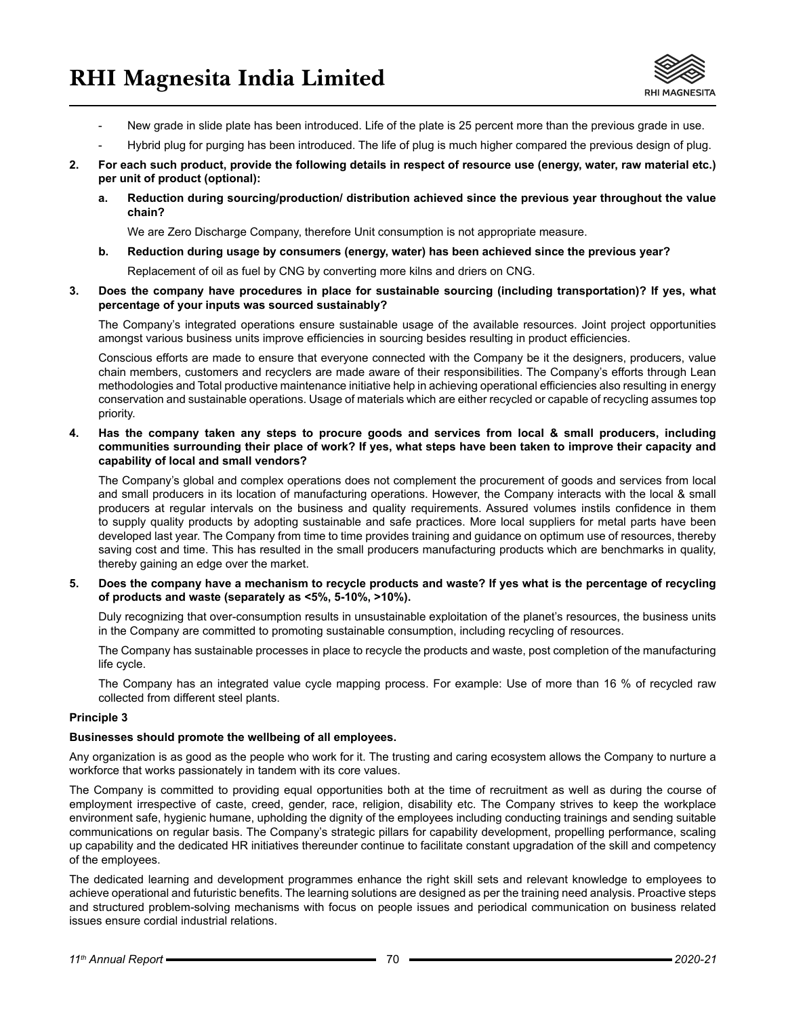

- New grade in slide plate has been introduced. Life of the plate is 25 percent more than the previous grade in use.
- Hybrid plug for purging has been introduced. The life of plug is much higher compared the previous design of plug.
- **2. For each such product, provide the following details in respect of resource use (energy, water, raw material etc.) per unit of product (optional):**
	- **a. Reduction during sourcing/production/ distribution achieved since the previous year throughout the value chain?**

We are Zero Discharge Company, therefore Unit consumption is not appropriate measure.

**b. Reduction during usage by consumers (energy, water) has been achieved since the previous year?**

Replacement of oil as fuel by CNG by converting more kilns and driers on CNG.

**3. Does the company have procedures in place for sustainable sourcing (including transportation)? If yes, what percentage of your inputs was sourced sustainably?**

The Company's integrated operations ensure sustainable usage of the available resources. Joint project opportunities amongst various business units improve efficiencies in sourcing besides resulting in product efficiencies.

Conscious efforts are made to ensure that everyone connected with the Company be it the designers, producers, value chain members, customers and recyclers are made aware of their responsibilities. The Company's efforts through Lean methodologies and Total productive maintenance initiative help in achieving operational efficiencies also resulting in energy conservation and sustainable operations. Usage of materials which are either recycled or capable of recycling assumes top priority.

**4. Has the company taken any steps to procure goods and services from local & small producers, including communities surrounding their place of work? If yes, what steps have been taken to improve their capacity and capability of local and small vendors?**

The Company's global and complex operations does not complement the procurement of goods and services from local and small producers in its location of manufacturing operations. However, the Company interacts with the local & small producers at regular intervals on the business and quality requirements. Assured volumes instils confidence in them to supply quality products by adopting sustainable and safe practices. More local suppliers for metal parts have been developed last year. The Company from time to time provides training and guidance on optimum use of resources, thereby saving cost and time. This has resulted in the small producers manufacturing products which are benchmarks in quality, thereby gaining an edge over the market.

**5. Does the company have a mechanism to recycle products and waste? If yes what is the percentage of recycling of products and waste (separately as <5%, 5-10%, >10%).**

Duly recognizing that over-consumption results in unsustainable exploitation of the planet's resources, the business units in the Company are committed to promoting sustainable consumption, including recycling of resources.

The Company has sustainable processes in place to recycle the products and waste, post completion of the manufacturing life cycle.

The Company has an integrated value cycle mapping process. For example: Use of more than 16 % of recycled raw collected from different steel plants.

#### **Principle 3**

#### **Businesses should promote the wellbeing of all employees.**

Any organization is as good as the people who work for it. The trusting and caring ecosystem allows the Company to nurture a workforce that works passionately in tandem with its core values.

The Company is committed to providing equal opportunities both at the time of recruitment as well as during the course of employment irrespective of caste, creed, gender, race, religion, disability etc. The Company strives to keep the workplace environment safe, hygienic humane, upholding the dignity of the employees including conducting trainings and sending suitable communications on regular basis. The Company's strategic pillars for capability development, propelling performance, scaling up capability and the dedicated HR initiatives thereunder continue to facilitate constant upgradation of the skill and competency of the employees.

The dedicated learning and development programmes enhance the right skill sets and relevant knowledge to employees to achieve operational and futuristic benefits. The learning solutions are designed as per the training need analysis. Proactive steps and structured problem-solving mechanisms with focus on people issues and periodical communication on business related issues ensure cordial industrial relations.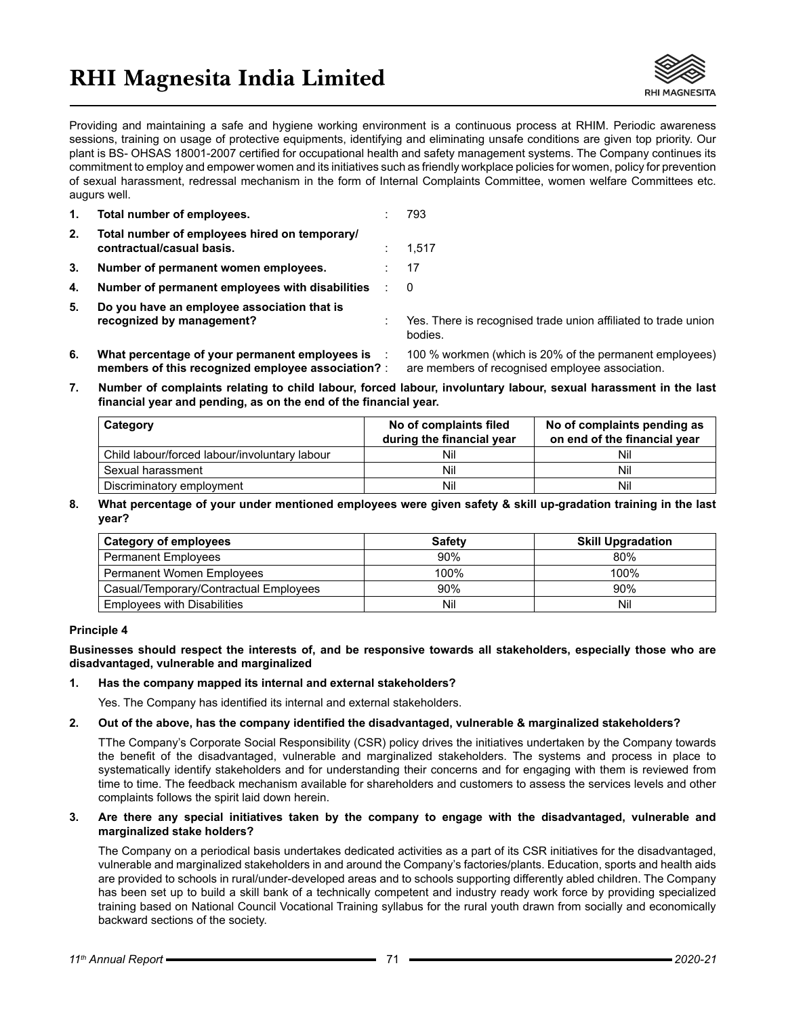# **RHI Magnesita India Limited**



Providing and maintaining a safe and hygiene working environment is a continuous process at RHIM. Periodic awareness sessions, training on usage of protective equipments, identifying and eliminating unsafe conditions are given top priority. Our plant is BS- OHSAS 18001-2007 certified for occupational health and safety management systems. The Company continues its commitment to employ and empower women and its initiatives such as friendly workplace policies for women, policy for prevention of sexual harassment, redressal mechanism in the form of Internal Complaints Committee, women welfare Committees etc. augurs well.

| 1. | Total number of employees.                                                 | 793                                                                       |
|----|----------------------------------------------------------------------------|---------------------------------------------------------------------------|
| 2. | Total number of employees hired on temporary/<br>contractual/casual basis. | 1,517                                                                     |
| 3. | Number of permanent women employees.                                       | 17                                                                        |
| 4. | Number of permanent employees with disabilities                            | -0                                                                        |
| 5. | Do you have an employee association that is<br>recognized by management?   | Yes. There is recognised trade union affiliated to trade union<br>bodies. |
| 6. | What percentage of your permanent employees is                             | 100 % workmen (which is 20% of the permanent employees)                   |

**members of this recognized employee association?** : are members of recognised employee association. **7. Number of complaints relating to child labour, forced labour, involuntary labour, sexual harassment in the last** 

| Category                                      | No of complaints filed<br>during the financial year | No of complaints pending as<br>on end of the financial year |
|-----------------------------------------------|-----------------------------------------------------|-------------------------------------------------------------|
| Child labour/forced labour/involuntary labour | Nil                                                 | Nil                                                         |
| Sexual harassment                             | Nil                                                 | Nil                                                         |
| Discriminatory employment                     | Nil                                                 | Nil                                                         |

**8. What percentage of your under mentioned employees were given safety & skill up-gradation training in the last year?** 

| <b>Category of employees</b>           | <b>Safety</b> | <b>Skill Upgradation</b> |
|----------------------------------------|---------------|--------------------------|
| <b>Permanent Employees</b>             | 90%           | 80%                      |
| <b>Permanent Women Employees</b>       | 100%          | 100%                     |
| Casual/Temporary/Contractual Employees | 90%           | 90%                      |
| <b>Employees with Disabilities</b>     | Nil           | Nil                      |

#### **Principle 4**

**Businesses should respect the interests of, and be responsive towards all stakeholders, especially those who are disadvantaged, vulnerable and marginalized**

#### **1. Has the company mapped its internal and external stakeholders?**

**financial year and pending, as on the end of the financial year.**

Yes. The Company has identified its internal and external stakeholders.

#### **2. Out of the above, has the company identified the disadvantaged, vulnerable & marginalized stakeholders?**

TThe Company's Corporate Social Responsibility (CSR) policy drives the initiatives undertaken by the Company towards the benefit of the disadvantaged, vulnerable and marginalized stakeholders. The systems and process in place to systematically identify stakeholders and for understanding their concerns and for engaging with them is reviewed from time to time. The feedback mechanism available for shareholders and customers to assess the services levels and other complaints follows the spirit laid down herein.

#### **3. Are there any special initiatives taken by the company to engage with the disadvantaged, vulnerable and marginalized stake holders?**

The Company on a periodical basis undertakes dedicated activities as a part of its CSR initiatives for the disadvantaged, vulnerable and marginalized stakeholders in and around the Company's factories/plants. Education, sports and health aids are provided to schools in rural/under-developed areas and to schools supporting differently abled children. The Company has been set up to build a skill bank of a technically competent and industry ready work force by providing specialized training based on National Council Vocational Training syllabus for the rural youth drawn from socially and economically backward sections of the society.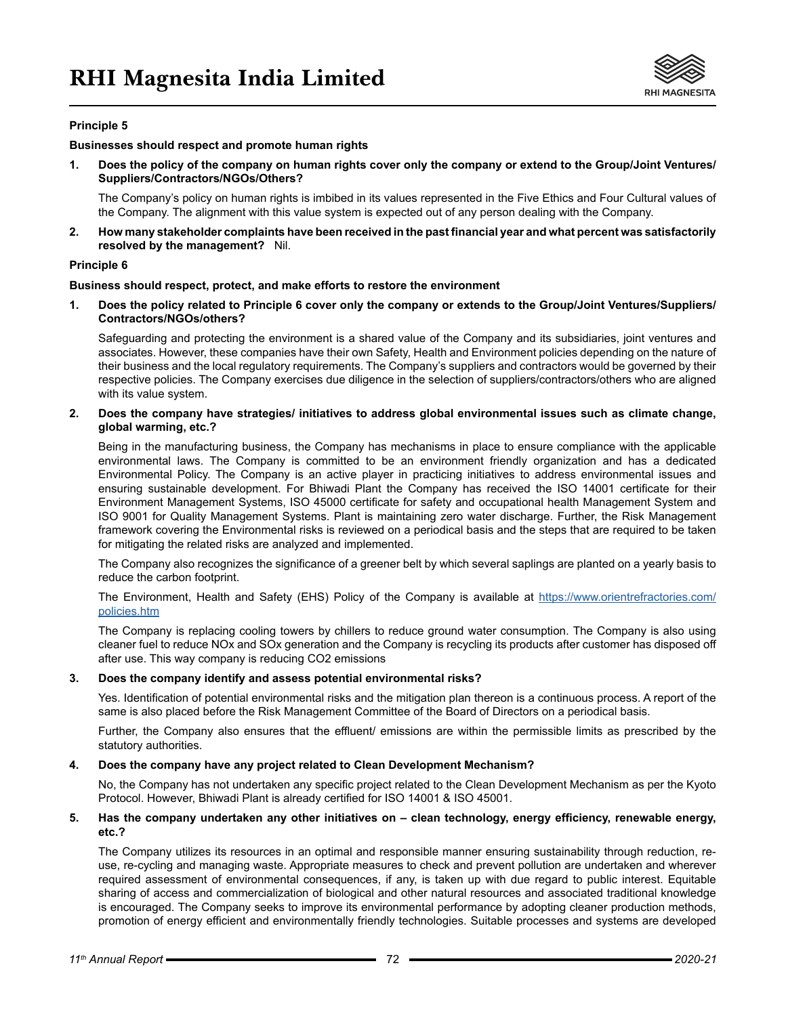

### **Principle 5**

#### **Businesses should respect and promote human rights**

**1. Does the policy of the company on human rights cover only the company or extend to the Group/Joint Ventures/ Suppliers/Contractors/NGOs/Others?**

The Company's policy on human rights is imbibed in its values represented in the Five Ethics and Four Cultural values of the Company. The alignment with this value system is expected out of any person dealing with the Company.

**2. How many stakeholder complaints have been received in the past financial year and what percent was satisfactorily resolved by the management?** Nil.

#### **Principle 6**

#### **Business should respect, protect, and make efforts to restore the environment**

**1. Does the policy related to Principle 6 cover only the company or extends to the Group/Joint Ventures/Suppliers/ Contractors/NGOs/others?** 

Safeguarding and protecting the environment is a shared value of the Company and its subsidiaries, joint ventures and associates. However, these companies have their own Safety, Health and Environment policies depending on the nature of their business and the local regulatory requirements. The Company's suppliers and contractors would be governed by their respective policies. The Company exercises due diligence in the selection of suppliers/contractors/others who are aligned with its value system.

**2. Does the company have strategies/ initiatives to address global environmental issues such as climate change, global warming, etc.?** 

Being in the manufacturing business, the Company has mechanisms in place to ensure compliance with the applicable environmental laws. The Company is committed to be an environment friendly organization and has a dedicated Environmental Policy. The Company is an active player in practicing initiatives to address environmental issues and ensuring sustainable development. For Bhiwadi Plant the Company has received the ISO 14001 certificate for their Environment Management Systems, ISO 45000 certificate for safety and occupational health Management System and ISO 9001 for Quality Management Systems. Plant is maintaining zero water discharge. Further, the Risk Management framework covering the Environmental risks is reviewed on a periodical basis and the steps that are required to be taken for mitigating the related risks are analyzed and implemented.

The Company also recognizes the significance of a greener belt by which several saplings are planted on a yearly basis to reduce the carbon footprint.

The Environment, Health and Safety (EHS) Policy of the Company is available at https://www.orientrefractories.com/ policies.htm

The Company is replacing cooling towers by chillers to reduce ground water consumption. The Company is also using cleaner fuel to reduce NOx and SOx generation and the Company is recycling its products after customer has disposed off after use. This way company is reducing CO2 emissions

#### **3. Does the company identify and assess potential environmental risks?**

Yes. Identification of potential environmental risks and the mitigation plan thereon is a continuous process. A report of the same is also placed before the Risk Management Committee of the Board of Directors on a periodical basis.

Further, the Company also ensures that the effluent/ emissions are within the permissible limits as prescribed by the statutory authorities.

#### **4. Does the company have any project related to Clean Development Mechanism?**

No, the Company has not undertaken any specific project related to the Clean Development Mechanism as per the Kyoto Protocol. However, Bhiwadi Plant is already certified for ISO 14001 & ISO 45001.

#### **5. Has the company undertaken any other initiatives on – clean technology, energy efficiency, renewable energy, etc.?**

The Company utilizes its resources in an optimal and responsible manner ensuring sustainability through reduction, reuse, re-cycling and managing waste. Appropriate measures to check and prevent pollution are undertaken and wherever required assessment of environmental consequences, if any, is taken up with due regard to public interest. Equitable sharing of access and commercialization of biological and other natural resources and associated traditional knowledge is encouraged. The Company seeks to improve its environmental performance by adopting cleaner production methods, promotion of energy efficient and environmentally friendly technologies. Suitable processes and systems are developed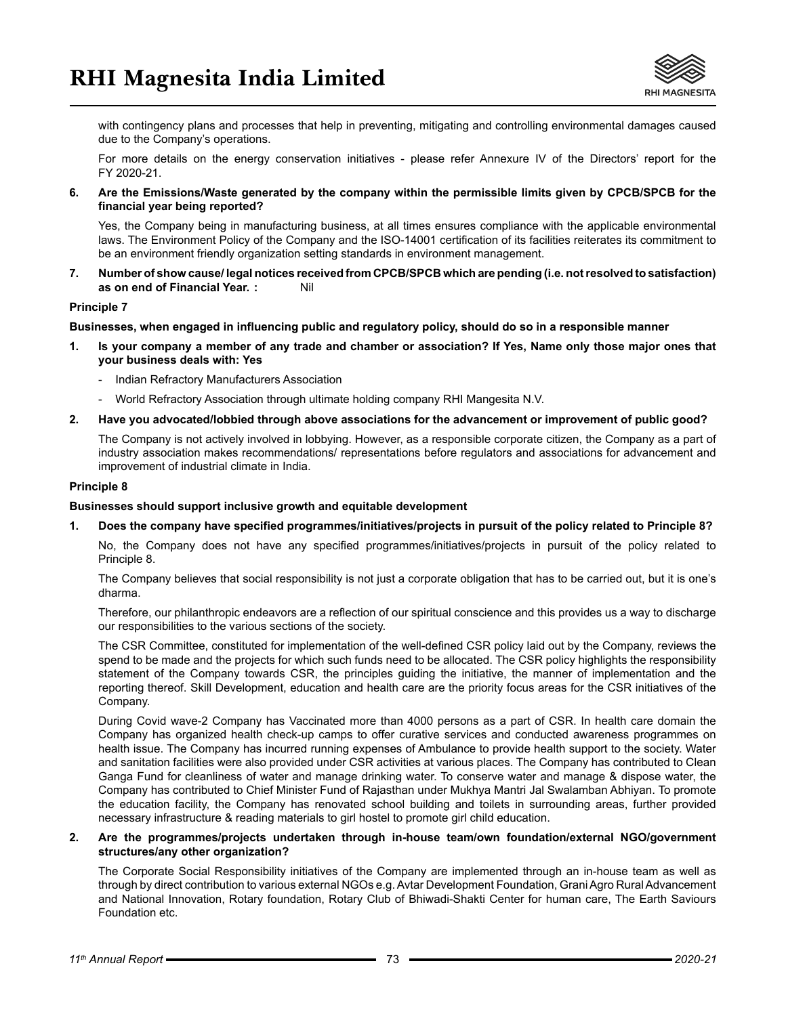

with contingency plans and processes that help in preventing, mitigating and controlling environmental damages caused due to the Company's operations.

For more details on the energy conservation initiatives - please refer Annexure IV of the Directors' report for the FY 2020-21.

**6. Are the Emissions/Waste generated by the company within the permissible limits given by CPCB/SPCB for the financial year being reported?**

Yes, the Company being in manufacturing business, at all times ensures compliance with the applicable environmental laws. The Environment Policy of the Company and the ISO-14001 certification of its facilities reiterates its commitment to be an environment friendly organization setting standards in environment management.

**7. Number of show cause/ legal notices received from CPCB/SPCB which are pending (i.e. not resolved to satisfaction) as on end of Financial Year. :** Nil

#### **Principle 7**

**Businesses, when engaged in influencing public and regulatory policy, should do so in a responsible manner**

- **1. Is your company a member of any trade and chamber or association? If Yes, Name only those major ones that your business deals with: Yes**
	- Indian Refractory Manufacturers Association
	- World Refractory Association through ultimate holding company RHI Mangesita N.V.
- **2. Have you advocated/lobbied through above associations for the advancement or improvement of public good?**

The Company is not actively involved in lobbying. However, as a responsible corporate citizen, the Company as a part of industry association makes recommendations/ representations before regulators and associations for advancement and improvement of industrial climate in India.

#### **Principle 8**

#### **Businesses should support inclusive growth and equitable development**

**1. Does the company have specified programmes/initiatives/projects in pursuit of the policy related to Principle 8?**

No, the Company does not have any specified programmes/initiatives/projects in pursuit of the policy related to Principle 8.

The Company believes that social responsibility is not just a corporate obligation that has to be carried out, but it is one's dharma.

Therefore, our philanthropic endeavors are a reflection of our spiritual conscience and this provides us a way to discharge our responsibilities to the various sections of the society.

The CSR Committee, constituted for implementation of the well-defined CSR policy laid out by the Company, reviews the spend to be made and the projects for which such funds need to be allocated. The CSR policy highlights the responsibility statement of the Company towards CSR, the principles guiding the initiative, the manner of implementation and the reporting thereof. Skill Development, education and health care are the priority focus areas for the CSR initiatives of the Company.

During Covid wave-2 Company has Vaccinated more than 4000 persons as a part of CSR. In health care domain the Company has organized health check-up camps to offer curative services and conducted awareness programmes on health issue. The Company has incurred running expenses of Ambulance to provide health support to the society. Water and sanitation facilities were also provided under CSR activities at various places. The Company has contributed to Clean Ganga Fund for cleanliness of water and manage drinking water. To conserve water and manage & dispose water, the Company has contributed to Chief Minister Fund of Rajasthan under Mukhya Mantri Jal Swalamban Abhiyan. To promote the education facility, the Company has renovated school building and toilets in surrounding areas, further provided necessary infrastructure & reading materials to girl hostel to promote girl child education.

#### **2. Are the programmes/projects undertaken through in-house team/own foundation/external NGO/government structures/any other organization?**

The Corporate Social Responsibility initiatives of the Company are implemented through an in-house team as well as through by direct contribution to various external NGOs e.g. Avtar Development Foundation, Grani Agro Rural Advancement and National Innovation, Rotary foundation, Rotary Club of Bhiwadi-Shakti Center for human care, The Earth Saviours Foundation etc.